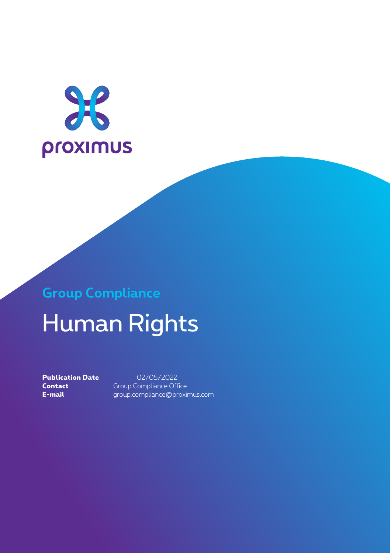

# **Group Compliance** Human Rights

**Publication Date** 02/05/2022 **Contact** Group Compliance Office **E-mail** group.compliance@proximus.com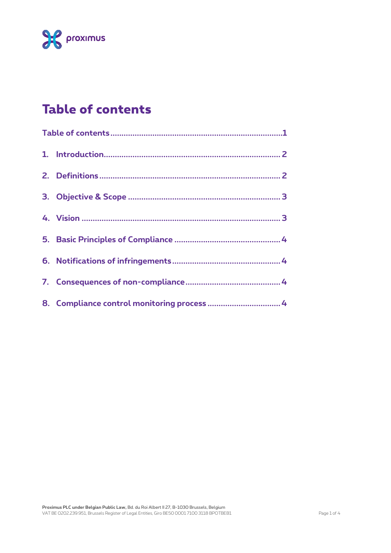

# **Table of contents**

|  | 8. Compliance control monitoring process  4 |
|--|---------------------------------------------|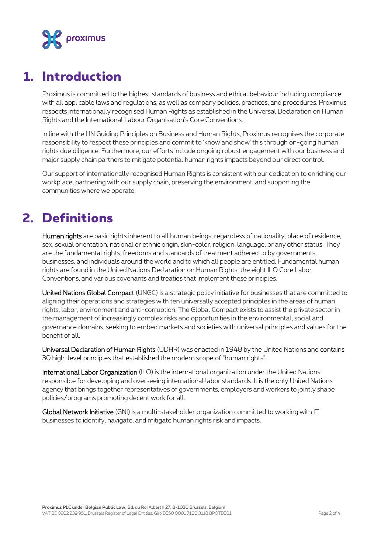

#### **1. Introduction**

Proximus is committed to the highest standards of business and ethical behaviour including compliance with all applicable laws and regulations, as well as company policies, practices, and procedures. Proximus respects internationally recognised Human Rights as established in the Universal Declaration on Human Rights and the International Labour Organisation's Core Conventions.

In line with the UN Guiding Principles on Business and Human Rights, Proximus recognises the corporate responsibility to respect these principles and commit to 'know and show' this through on-going human rights due diligence. Furthermore, our efforts include ongoing robust engagement with our business and major supply chain partners to mitigate potential human rights impacts beyond our direct control.

Our support of internationally recognised Human Rights is consistent with our dedication to enriching our workplace, partnering with our supply chain, preserving the environment, and supporting the communities where we operate.

## **2. Definitions**

Human rights are basic rights inherent to all human beings, regardless of nationality, place of residence, sex, sexual orientation, national or ethnic origin, skin-color, religion, language, or any other status. They are the fundamental rights, freedoms and standards of treatment adhered to by governments, businesses, and individuals around the world and to which all people are entitled. Fundamental human rights are found in the United Nations Declaration on Human Rights, the eight ILO Core Labor Conventions, and various covenants and treaties that implement these principles.

United Nations Global Compact (UNGC) is a strategic policy initiative for businesses that are committed to aligning their operations and strategies with ten universally accepted principles in the areas of human rights, labor, environment and anti-corruption. The Global Compact exists to assist the private sector in the management of increasingly complex risks and opportunities in the environmental, social and governance domains, seeking to embed markets and societies with universal principles and values for the benefit of all.

Universal Declaration of Human Rights (UDHR) was enacted in 1948 by the United Nations and contains 30 high-level principles that established the modern scope of "human rights".

International Labor Organization (ILO) is the international organization under the United Nations responsible for developing and overseeing international labor standards. It is the only United Nations agency that brings together representatives of governments, employers and workers to jointly shape policies/programs promoting decent work for all.

Global Network Initiative (GNI) is a multi-stakeholder organization committed to working with IT businesses to identify, navigate, and mitigate human rights risk and impacts.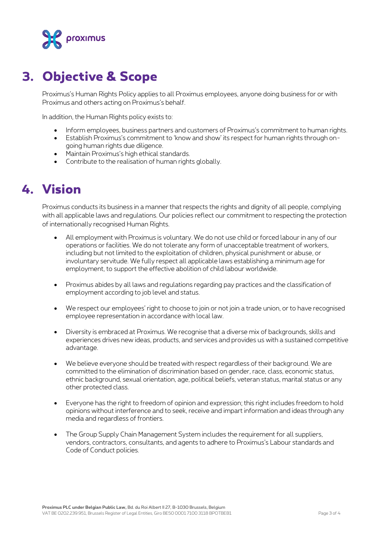

## **3. Objective & Scope**

Proximus's Human Rights Policy applies to all Proximus employees, anyone doing business for or with Proximus and others acting on Proximus's behalf.

In addition, the Human Rights policy exists to:

- Inform employees, business partners and customers of Proximus's commitment to human rights.
- Establish Proximus's commitment to 'know and show' its respect for human rights through ongoing human rights due diligence.
- Maintain Proximus's high ethical standards.
- Contribute to the realisation of human rights globally.

## **4. Vision**

Proximus conducts its business in a manner that respects the rights and dignity of all people, complying with all applicable laws and regulations. Our policies reflect our commitment to respecting the protection of internationally recognised Human Rights.

- All employment with Proximus is voluntary. We do not use child or forced labour in any of our operations or facilities. We do not tolerate any form of unacceptable treatment of workers, including but not limited to the exploitation of children, physical punishment or abuse, or involuntary servitude. We fully respect all applicable laws establishing a minimum age for employment, to support the effective abolition of child labour worldwide.
- Proximus abides by all laws and regulations regarding pay practices and the classification of employment according to job level and status.
- We respect our employees' right to choose to join or not join a trade union, or to have recognised employee representation in accordance with local law.
- Diversity is embraced at Proximus. We recognise that a diverse mix of backgrounds, skills and experiences drives new ideas, products, and services and provides us with a sustained competitive advantage.
- We believe everyone should be treated with respect regardless of their background. We are committed to the elimination of discrimination based on gender, race, class, economic status, ethnic background, sexual orientation, age, political beliefs, veteran status, marital status or any other protected class.
- Everyone has the right to freedom of opinion and expression; this right includes freedom to hold opinions without interference and to seek, receive and impart information and ideas through any media and regardless of frontiers.
- The Group Supply Chain Management System includes the requirement for all suppliers, vendors, contractors, consultants, and agents to adhere to Proximus's Labour standards and Code of Conduct policies.